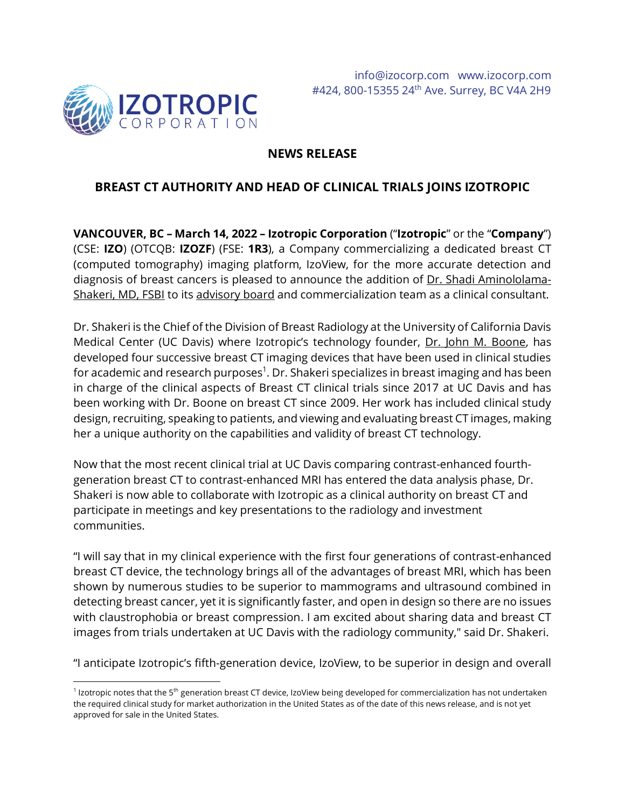

## **NEWS RELEASE**

# **BREAST CT AUTHORITY AND HEAD OF CLINICAL TRIALS JOINS IZOTROPIC**

**VANCOUVER, BC – March 14, 2022 – Izotropic Corporation** ("**Izotropic**" or the "**Company**") (CSE: **IZO**) (OTCQB: **IZOZF**) (FSE: **1R3**), a Company commercializing a dedicated breast CT (computed tomography) imaging platform, IzoView, for the more accurate detection and diagnosis of breast cancers is pleased to announce the addition of Dr. Shadi [Aminololama-](https://health.ucdavis.edu/team/cancer/11676/shadi-aminololama-shakeri---radiology---breast-imaging-sacramento)[Shakeri, MD, FSBI](https://health.ucdavis.edu/team/cancer/11676/shadi-aminololama-shakeri---radiology---breast-imaging-sacramento) to its [advisory board](https://izocorp.com/investors/advisors/) and commercialization team as a clinical consultant.

Dr. Shakeri is the Chief of the Division of Breast Radiology at the University of California Davis Medical Center (UC Davis) where Izotropic's technology founder, [Dr. John M. Boone,](https://health.ucdavis.edu/team/cancer/170/john-boone---mammography-sacramento) has developed four successive breast CT imaging devices that have been used in clinical studies for academic and research purposes<sup>1</sup>. Dr. Shakeri specializes in breast imaging and has been in charge of the clinical aspects of Breast CT clinical trials since 2017 at UC Davis and has been working with Dr. Boone on breast CT since 2009. Her work has included clinical study design, recruiting, speaking to patients, and viewing and evaluating breast CT images, making her a unique authority on the capabilities and validity of breast CT technology.

Now that the most recent clinical trial at UC Davis comparing contrast-enhanced fourthgeneration breast CT to contrast-enhanced MRI has entered the data analysis phase, Dr. Shakeri is now able to collaborate with Izotropic as a clinical authority on breast CT and participate in meetings and key presentations to the radiology and investment communities.

"I will say that in my clinical experience with the first four generations of contrast-enhanced breast CT device, the technology brings all of the advantages of breast MRI, which has been shown by numerous studies to be superior to mammograms and ultrasound combined in detecting breast cancer, yet it is significantly faster, and open in design so there are no issues with claustrophobia or breast compression. I am excited about sharing data and breast CT images from trials undertaken at UC Davis with the radiology community," said Dr. Shakeri.

"I anticipate Izotropic's fifth-generation device, IzoView, to be superior in design and overall

 $^1$  Izotropic notes that the 5<sup>th</sup> generation breast CT device, IzoView being developed for commercialization has not undertaken the required clinical study for market authorization in the United States as of the date of this news release, and is not yet approved for sale in the United States.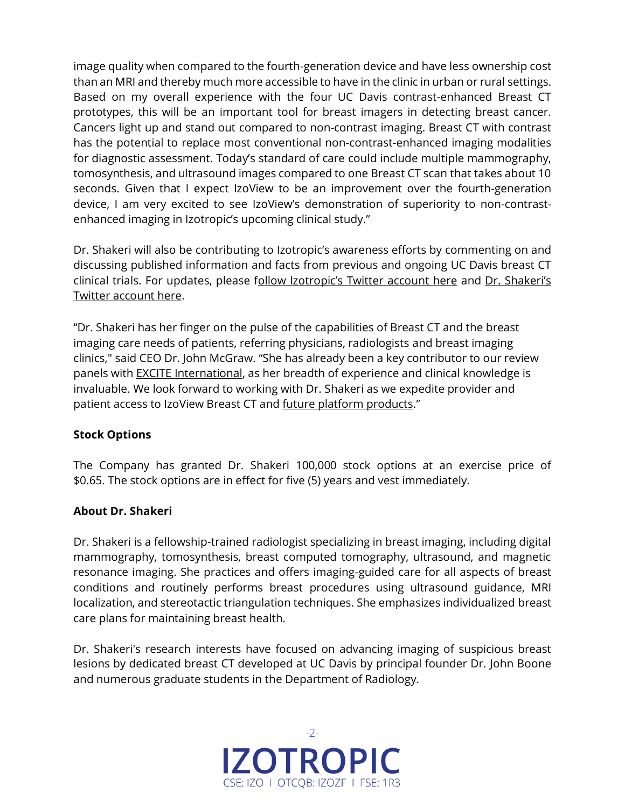image quality when compared to the fourth-generation device and have less ownership cost than an MRI and thereby much more accessible to have in the clinic in urban or rural settings. Based on my overall experience with the four UC Davis contrast-enhanced Breast CT prototypes, this will be an important tool for breast imagers in detecting breast cancer. Cancers light up and stand out compared to non-contrast imaging. Breast CT with contrast has the potential to replace most conventional non-contrast-enhanced imaging modalities for diagnostic assessment. Today's standard of care could include multiple mammography, tomosynthesis, and ultrasound images compared to one Breast CT scan that takes about 10 seconds. Given that I expect IzoView to be an improvement over the fourth-generation device, I am very excited to see IzoView's demonstration of superiority to non-contrastenhanced imaging in Izotropic's upcoming clinical study."

Dr. Shakeri will also be contributing to Izotropic's awareness efforts by commenting on and discussing published information and facts from previous and ongoing UC Davis breast CT clinical trials. For updates, please follow Izotropic's [Twitter account here](https://twitter.com/izotropic) and Dr. Shakeri's [Twitter account here.](https://twitter.com/shadishakerimd)

"Dr. Shakeri has her finger on the pulse of the capabilities of Breast CT and the breast imaging care needs of patients, referring physicians, radiologists and breast imaging clinics," said CEO Dr. John McGraw. "She has already been a key contributor to our review panels with [EXCITE International,](https://izocorp.com/news-releases/izotropic-accelerates-payor-engagement-activities-with-excite-international/) as her breadth of experience and clinical knowledge is invaluable. We look forward to working with Dr. Shakeri as we expedite provider and patient access to IzoView Breast CT an[d future platform products](https://izocorp.com/site/assets/files/5623/december_2021_izotropic_presentation.pdf#page=14)."

### **Stock Options**

The Company has granted Dr. Shakeri 100,000 stock options at an exercise price of \$0.65. The stock options are in effect for five (5) years and vest immediately.

### **About Dr. Shakeri**

Dr. Shakeri is a fellowship-trained radiologist specializing in breast imaging, including digital mammography, tomosynthesis, breast computed tomography, ultrasound, and magnetic resonance imaging. She practices and offers imaging-guided care for all aspects of breast conditions and routinely performs breast procedures using ultrasound guidance, MRI localization, and stereotactic triangulation techniques. She emphasizes individualized breast care plans for maintaining breast health.

Dr. Shakeri's research interests have focused on advancing imaging of suspicious breast lesions by dedicated breast CT developed at UC Davis by principal founder Dr. John Boone and numerous graduate students in the Department of Radiology.

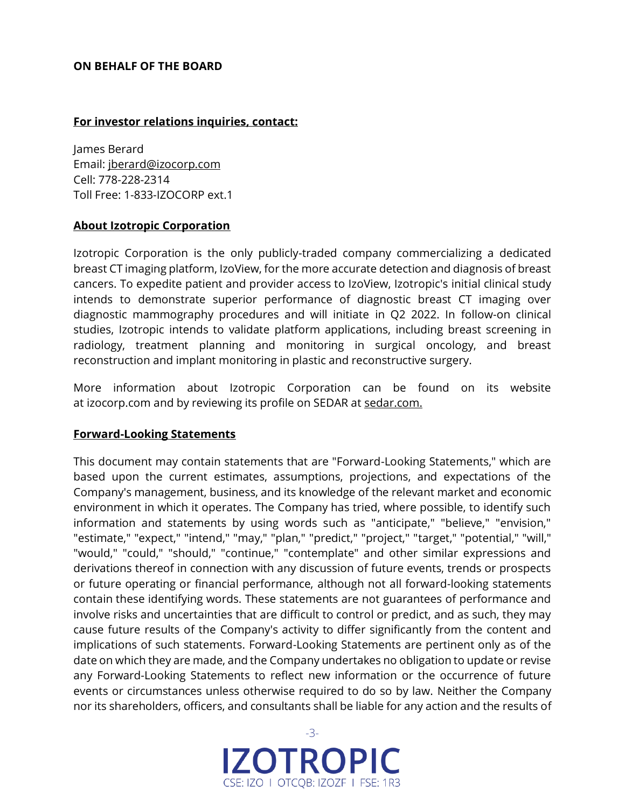### **ON BEHALF OF THE BOARD**

#### **For investor relations inquiries, contact:**

James Berard Email: [jberard@izocorp.com](mailto:jberard@izocorp.com) Cell: 778-228-2314 Toll Free: 1-833-IZOCORP ext.1

### **About Izotropic Corporation**

Izotropic Corporation is the only publicly-traded company commercializing a dedicated breast CT imaging platform, IzoView, for the more accurate detection and diagnosis of breast cancers. To expedite patient and provider access to IzoView, Izotropic's initial clinical study intends to demonstrate superior performance of diagnostic breast CT imaging over diagnostic mammography procedures and will initiate in Q2 2022. In follow-on clinical studies, Izotropic intends to validate platform applications, including breast screening in radiology, treatment planning and monitoring in surgical oncology, and breast reconstruction and implant monitoring in plastic and reconstructive surgery.

More information about Izotropic Corporation can be found on its website at [izocorp.com](https://izocorp.com/) and by reviewing its profile on SEDAR at [sedar.com.](https://www.sedar.com/DisplayProfile.do?lang=EN&issuerType=03&issuerNo=00044761)

#### **Forward-Looking Statements**

This document may contain statements that are "Forward-Looking Statements," which are based upon the current estimates, assumptions, projections, and expectations of the Company's management, business, and its knowledge of the relevant market and economic environment in which it operates. The Company has tried, where possible, to identify such information and statements by using words such as "anticipate," "believe," "envision," "estimate," "expect," "intend," "may," "plan," "predict," "project," "target," "potential," "will," "would," "could," "should," "continue," "contemplate" and other similar expressions and derivations thereof in connection with any discussion of future events, trends or prospects or future operating or financial performance, although not all forward-looking statements contain these identifying words. These statements are not guarantees of performance and involve risks and uncertainties that are difficult to control or predict, and as such, they may cause future results of the Company's activity to differ significantly from the content and implications of such statements. Forward-Looking Statements are pertinent only as of the date on which they are made, and the Company undertakes no obligation to update or revise any Forward-Looking Statements to reflect new information or the occurrence of future events or circumstances unless otherwise required to do so by law. Neither the Company nor its shareholders, officers, and consultants shall be liable for any action and the results of